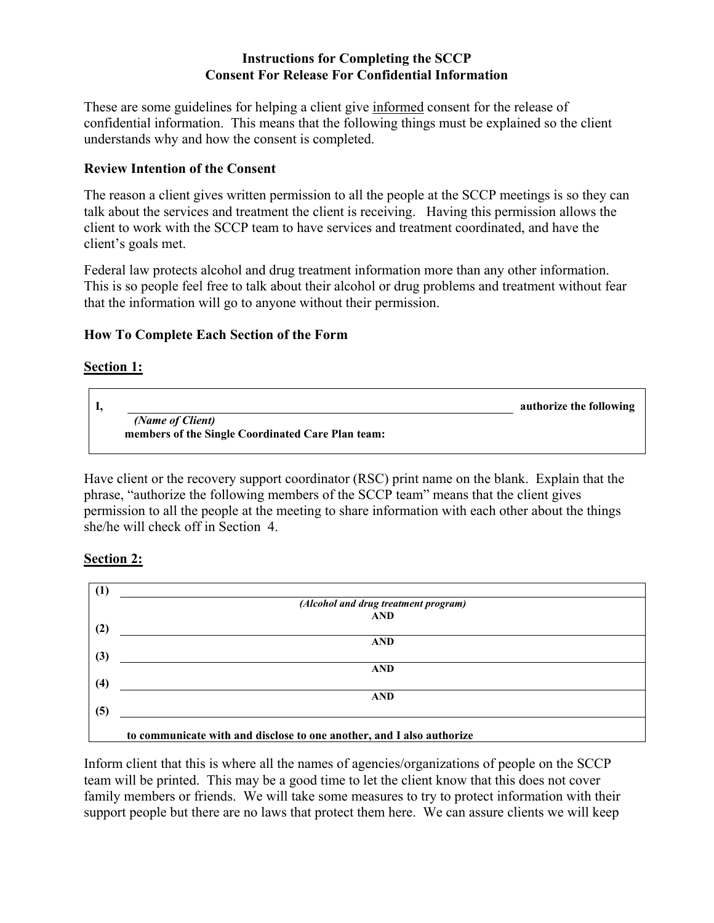## **Instructions for Completing the SCCP Consent For Release For Confidential Information**

These are some guidelines for helping a client give informed consent for the release of confidential information. This means that the following things must be explained so the client understands why and how the consent is completed.

## **Review Intention of the Consent**

The reason a client gives written permission to all the people at the SCCP meetings is so they can talk about the services and treatment the client is receiving. Having this permission allows the client to work with the SCCP team to have services and treatment coordinated, and have the client's goals met.

Federal law protects alcohol and drug treatment information more than any other information. This is so people feel free to talk about their alcohol or drug problems and treatment without fear that the information will go to anyone without their permission.

## **How To Complete Each Section of the Form**

## **Section 1:**



Have client or the recovery support coordinator (RSC) print name on the blank. Explain that the phrase, "authorize the following members of the SCCP team" means that the client gives permission to all the people at the meeting to share information with each other about the things she/he will check off in Section 4.

## **Section 2:**



Inform client that this is where all the names of agencies/organizations of people on the SCCP team will be printed. This may be a good time to let the client know that this does not cover family members or friends. We will take some measures to try to protect information with their support people but there are no laws that protect them here. We can assure clients we will keep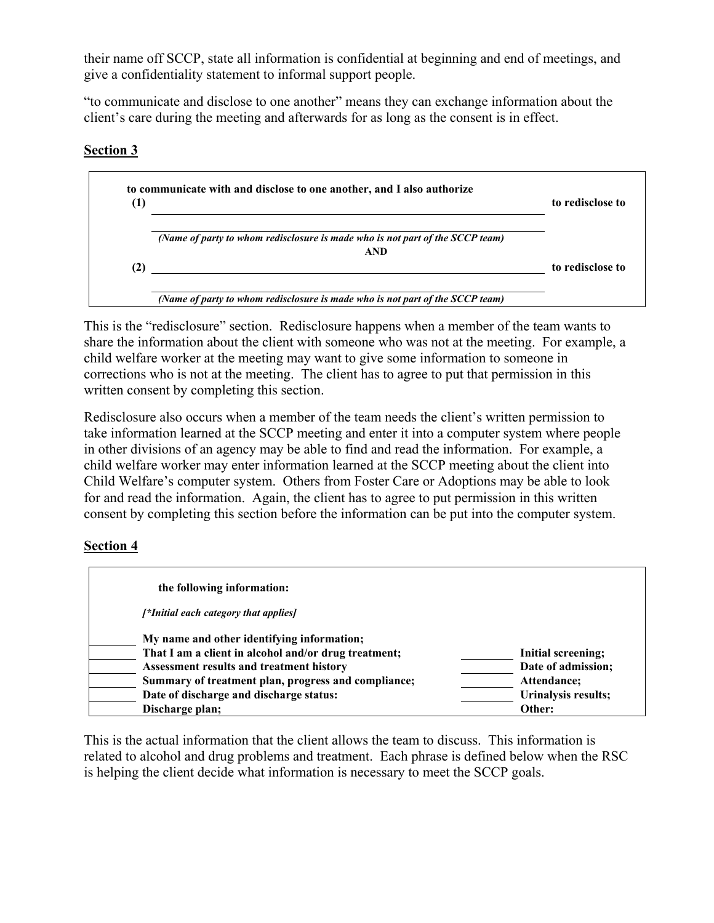their name off SCCP, state all information is confidential at beginning and end of meetings, and give a confidentiality statement to informal support people.

"to communicate and disclose to one another" means they can exchange information about the client's care during the meeting and afterwards for as long as the consent is in effect.

# **Section 3**



This is the "redisclosure" section. Redisclosure happens when a member of the team wants to share the information about the client with someone who was not at the meeting. For example, a child welfare worker at the meeting may want to give some information to someone in corrections who is not at the meeting. The client has to agree to put that permission in this written consent by completing this section.

Redisclosure also occurs when a member of the team needs the client's written permission to take information learned at the SCCP meeting and enter it into a computer system where people in other divisions of an agency may be able to find and read the information. For example, a child welfare worker may enter information learned at the SCCP meeting about the client into Child Welfare's computer system. Others from Foster Care or Adoptions may be able to look for and read the information. Again, the client has to agree to put permission in this written consent by completing this section before the information can be put into the computer system.

# **Section 4**

| the following information:                           |                     |
|------------------------------------------------------|---------------------|
| [*Initial each category that applies]                |                     |
| My name and other identifying information;           |                     |
| That I am a client in alcohol and/or drug treatment; | Initial screening;  |
| Assessment results and treatment history             | Date of admission;  |
| Summary of treatment plan, progress and compliance;  | Attendance;         |
| Date of discharge and discharge status:              | Urinalysis results; |
| Discharge plan;                                      | Other:              |

This is the actual information that the client allows the team to discuss. This information is related to alcohol and drug problems and treatment. Each phrase is defined below when the RSC is helping the client decide what information is necessary to meet the SCCP goals.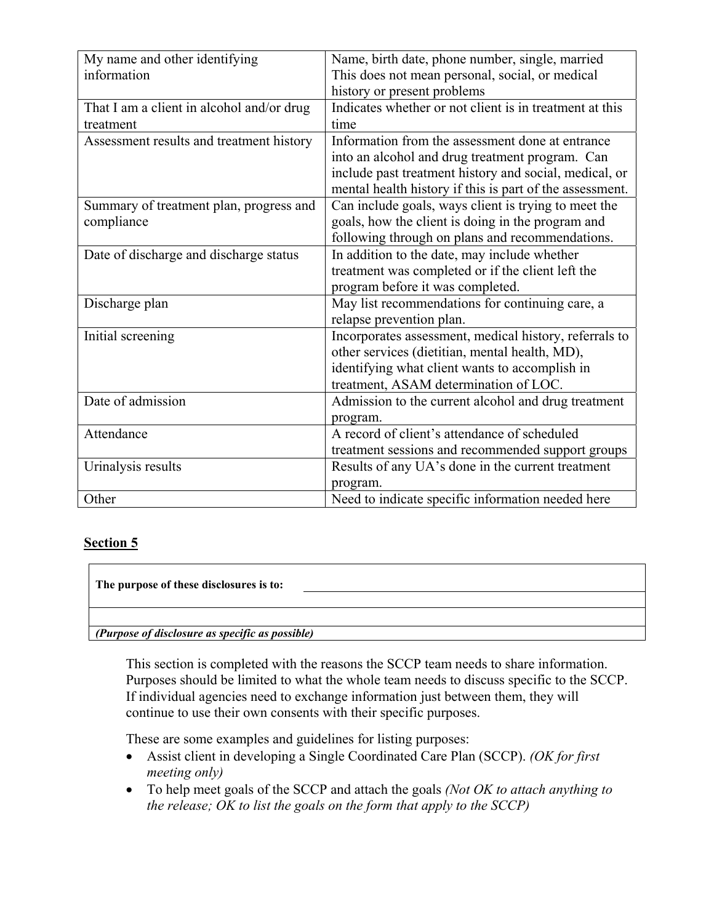| My name and other identifying             | Name, birth date, phone number, single, married          |  |
|-------------------------------------------|----------------------------------------------------------|--|
| information                               | This does not mean personal, social, or medical          |  |
|                                           | history or present problems                              |  |
| That I am a client in alcohol and/or drug | Indicates whether or not client is in treatment at this  |  |
| treatment                                 | time                                                     |  |
| Assessment results and treatment history  | Information from the assessment done at entrance         |  |
|                                           | into an alcohol and drug treatment program. Can          |  |
|                                           | include past treatment history and social, medical, or   |  |
|                                           | mental health history if this is part of the assessment. |  |
| Summary of treatment plan, progress and   | Can include goals, ways client is trying to meet the     |  |
| compliance                                | goals, how the client is doing in the program and        |  |
|                                           | following through on plans and recommendations.          |  |
| Date of discharge and discharge status    | In addition to the date, may include whether             |  |
|                                           | treatment was completed or if the client left the        |  |
|                                           | program before it was completed.                         |  |
| Discharge plan                            | May list recommendations for continuing care, a          |  |
|                                           | relapse prevention plan.                                 |  |
| Initial screening                         | Incorporates assessment, medical history, referrals to   |  |
|                                           | other services (dietitian, mental health, MD),           |  |
|                                           | identifying what client wants to accomplish in           |  |
|                                           | treatment, ASAM determination of LOC.                    |  |
| Date of admission                         | Admission to the current alcohol and drug treatment      |  |
|                                           | program.                                                 |  |
| Attendance                                | A record of client's attendance of scheduled             |  |
|                                           | treatment sessions and recommended support groups        |  |
| Urinalysis results                        | Results of any UA's done in the current treatment        |  |
|                                           | program.                                                 |  |
| Other                                     | Need to indicate specific information needed here        |  |

### **Section 5**

**The purpose of these disclosures is to:** 

*(Purpose of disclosure as specific as possible)* 

This section is completed with the reasons the SCCP team needs to share information. Purposes should be limited to what the whole team needs to discuss specific to the SCCP. If individual agencies need to exchange information just between them, they will continue to use their own consents with their specific purposes.

These are some examples and guidelines for listing purposes:

- Assist client in developing a Single Coordinated Care Plan (SCCP). *(OK for first meeting only)*
- To help meet goals of the SCCP and attach the goals *(Not OK to attach anything to the release; OK to list the goals on the form that apply to the SCCP)*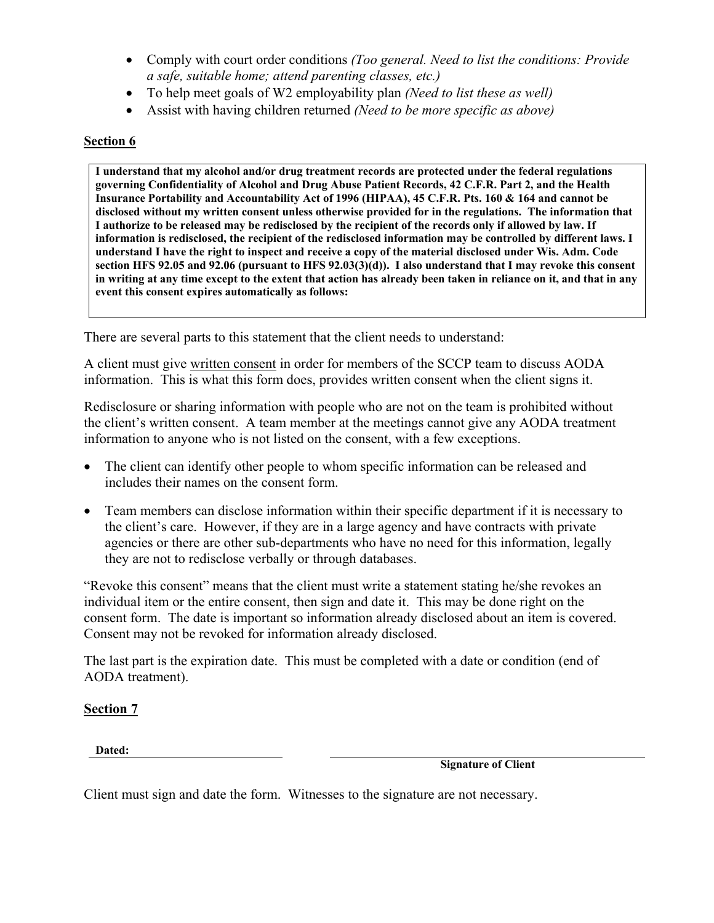- Comply with court order conditions *(Too general. Need to list the conditions: Provide a safe, suitable home; attend parenting classes, etc.)*
- To help meet goals of W2 employability plan *(Need to list these as well)*
- Assist with having children returned *(Need to be more specific as above)*

## **Section 6**

**I understand that my alcohol and/or drug treatment records are protected under the federal regulations governing Confidentiality of Alcohol and Drug Abuse Patient Records, 42 C.F.R. Part 2, and the Health Insurance Portability and Accountability Act of 1996 (HIPAA), 45 C.F.R. Pts. 160 & 164 and cannot be disclosed without my written consent unless otherwise provided for in the regulations. The information that I authorize to be released may be redisclosed by the recipient of the records only if allowed by law. If information is redisclosed, the recipient of the redisclosed information may be controlled by different laws. I understand I have the right to inspect and receive a copy of the material disclosed under Wis. Adm. Code section HFS 92.05 and 92.06 (pursuant to HFS 92.03(3)(d)). I also understand that I may revoke this consent in writing at any time except to the extent that action has already been taken in reliance on it, and that in any event this consent expires automatically as follows:** 

There are several parts to this statement that the client needs to understand:

A client must give written consent in order for members of the SCCP team to discuss AODA information. This is what this form does, provides written consent when the client signs it.

Redisclosure or sharing information with people who are not on the team is prohibited without the client's written consent. A team member at the meetings cannot give any AODA treatment information to anyone who is not listed on the consent, with a few exceptions.

- The client can identify other people to whom specific information can be released and includes their names on the consent form.
- Team members can disclose information within their specific department if it is necessary to the client's care. However, if they are in a large agency and have contracts with private agencies or there are other sub-departments who have no need for this information, legally they are not to redisclose verbally or through databases.

"Revoke this consent" means that the client must write a statement stating he/she revokes an individual item or the entire consent, then sign and date it. This may be done right on the consent form. The date is important so information already disclosed about an item is covered. Consent may not be revoked for information already disclosed.

The last part is the expiration date. This must be completed with a date or condition (end of AODA treatment).

**Section 7**

**Dated:**

**Signature of Client** 

Client must sign and date the form. Witnesses to the signature are not necessary.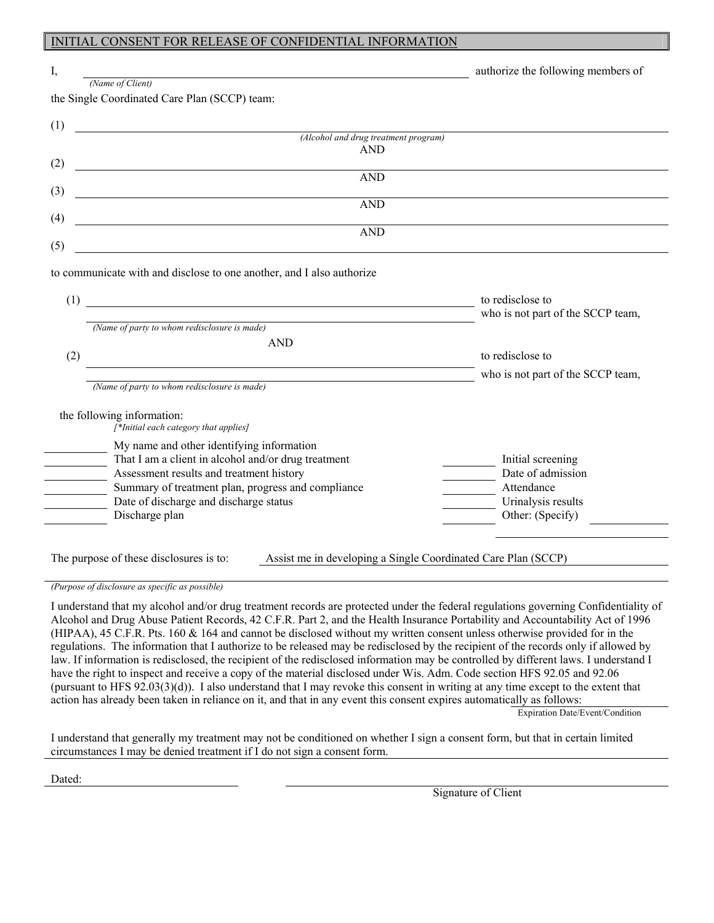#### INITIAL CONSENT FOR RELEASE OF CONFIDENTIAL INFORMATION

| I,  | (Name of Client)                                                                                                                   | authorize the following members of     |
|-----|------------------------------------------------------------------------------------------------------------------------------------|----------------------------------------|
|     | the Single Coordinated Care Plan (SCCP) team:                                                                                      |                                        |
|     |                                                                                                                                    |                                        |
| (1) | (Alcohol and drug treatment program)                                                                                               |                                        |
|     | <b>AND</b>                                                                                                                         |                                        |
| (2) |                                                                                                                                    |                                        |
| (3) | <b>AND</b>                                                                                                                         |                                        |
|     | <u> 1980 - Johann Barn, mars ann an t-Amhain Aonaich an t-Aonaich an t-Aonaich ann an t-Aonaich ann an t-Aonaich</u><br><b>AND</b> |                                        |
| (4) |                                                                                                                                    |                                        |
|     | <b>AND</b>                                                                                                                         |                                        |
| (5) | <u> 1980 - Johann Barbara, martxa amerikan personal (</u>                                                                          |                                        |
|     | to communicate with and disclose to one another, and I also authorize                                                              |                                        |
|     |                                                                                                                                    |                                        |
| (1) |                                                                                                                                    | to redisclose to                       |
|     | (Name of party to whom redisclosure is made)                                                                                       | who is not part of the SCCP team,      |
|     | <b>AND</b>                                                                                                                         |                                        |
| (2) |                                                                                                                                    | to redisclose to                       |
|     |                                                                                                                                    | who is not part of the SCCP team,      |
|     | (Name of party to whom redisclosure is made)                                                                                       |                                        |
|     | the following information:                                                                                                         |                                        |
|     | [*Initial each category that applies]                                                                                              |                                        |
|     | My name and other identifying information                                                                                          |                                        |
|     | That I am a client in alcohol and/or drug treatment                                                                                | Initial screening                      |
|     | Assessment results and treatment history                                                                                           | Date of admission                      |
|     | Summary of treatment plan, progress and compliance                                                                                 | Attendance                             |
|     | Date of discharge and discharge status<br>Discharge plan                                                                           | Urinalysis results<br>Other: (Specify) |
|     |                                                                                                                                    |                                        |
|     |                                                                                                                                    |                                        |
|     | The purpose of these disclosures is to:<br>Assist me in developing a Single Coordinated Care Plan (SCCP)                           |                                        |
|     |                                                                                                                                    |                                        |
|     | (Purpose of disclosure as specific as possible)                                                                                    |                                        |

I understand that my alcohol and/or drug treatment records are protected under the federal regulations governing Confidentiality of Alcohol and Drug Abuse Patient Records, 42 C.F.R. Part 2, and the Health Insurance Portability and Accountability Act of 1996 (HIPAA), 45 C.F.R. Pts. 160 & 164 and cannot be disclosed without my written consent unless otherwise provided for in the regulations. The information that I authorize to be released may be redisclosed by the recipient of the records only if allowed by law. If information is redisclosed, the recipient of the redisclosed information may be controlled by different laws. I understand I have the right to inspect and receive a copy of the material disclosed under Wis. Adm. Code section HFS 92.05 and 92.06 (pursuant to HFS 92.03(3)(d)). I also understand that I may revoke this consent in writing at any time except to the extent that action has already been taken in reliance on it, and that in any event this consent expires automatically as follows:

Expiration Date/Event/Condition

I understand that generally my treatment may not be conditioned on whether I sign a consent form, but that in certain limited circumstances I may be denied treatment if I do not sign a consent form.

Dated: